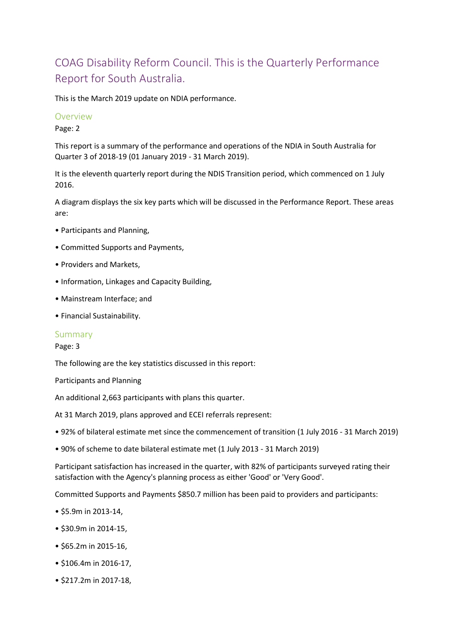# COAG Disability Reform Council. This is the Quarterly Performance Report for South Australia.

This is the March 2019 update on NDIA performance.

#### **Overview**

Page: 2

This report is a summary of the performance and operations of the NDIA in South Australia for Quarter 3 of 2018-19 (01 January 2019 - 31 March 2019).

It is the eleventh quarterly report during the NDIS Transition period, which commenced on 1 July 2016.

A diagram displays the six key parts which will be discussed in the Performance Report. These areas are:

- Participants and Planning,
- Committed Supports and Payments,
- Providers and Markets,
- Information, Linkages and Capacity Building,
- Mainstream Interface; and
- Financial Sustainability.

#### Summary

#### Page: 3

The following are the key statistics discussed in this report:

Participants and Planning

An additional 2,663 participants with plans this quarter.

At 31 March 2019, plans approved and ECEI referrals represent:

- 92% of bilateral estimate met since the commencement of transition (1 July 2016 31 March 2019)
- 90% of scheme to date bilateral estimate met (1 July 2013 31 March 2019)

Participant satisfaction has increased in the quarter, with 82% of participants surveyed rating their satisfaction with the Agency's planning process as either 'Good' or 'Very Good'.

Committed Supports and Payments \$850.7 million has been paid to providers and participants:

- \$5.9m in 2013-14,
- \$30.9m in 2014-15,
- \$65.2m in 2015-16,
- \$106.4m in 2016-17,
- \$217.2m in 2017-18,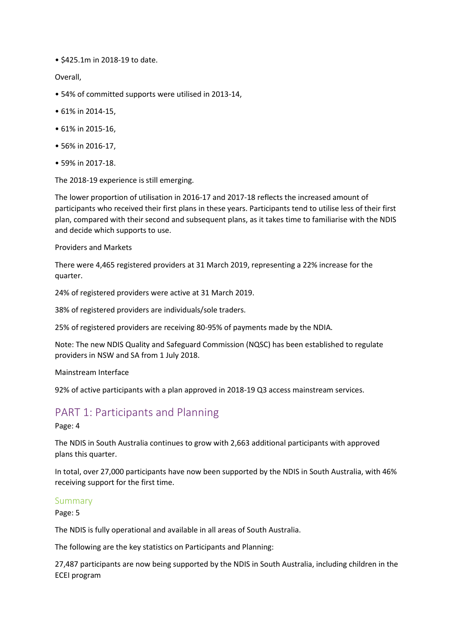• \$425.1m in 2018-19 to date.

Overall,

- 54% of committed supports were utilised in 2013-14,
- 61% in 2014-15,
- 61% in 2015-16,
- 56% in 2016-17,
- 59% in 2017-18.

The 2018-19 experience is still emerging.

The lower proportion of utilisation in 2016-17 and 2017-18 reflects the increased amount of participants who received their first plans in these years. Participants tend to utilise less of their first plan, compared with their second and subsequent plans, as it takes time to familiarise with the NDIS and decide which supports to use.

Providers and Markets

There were 4,465 registered providers at 31 March 2019, representing a 22% increase for the quarter.

24% of registered providers were active at 31 March 2019.

38% of registered providers are individuals/sole traders.

25% of registered providers are receiving 80-95% of payments made by the NDIA.

Note: The new NDIS Quality and Safeguard Commission (NQSC) has been established to regulate providers in NSW and SA from 1 July 2018.

Mainstream Interface

92% of active participants with a plan approved in 2018-19 Q3 access mainstream services.

## PART 1: Participants and Planning

Page: 4

The NDIS in South Australia continues to grow with 2,663 additional participants with approved plans this quarter.

In total, over 27,000 participants have now been supported by the NDIS in South Australia, with 46% receiving support for the first time.

#### Summary

Page: 5

The NDIS is fully operational and available in all areas of South Australia.

The following are the key statistics on Participants and Planning:

27,487 participants are now being supported by the NDIS in South Australia, including children in the ECEI program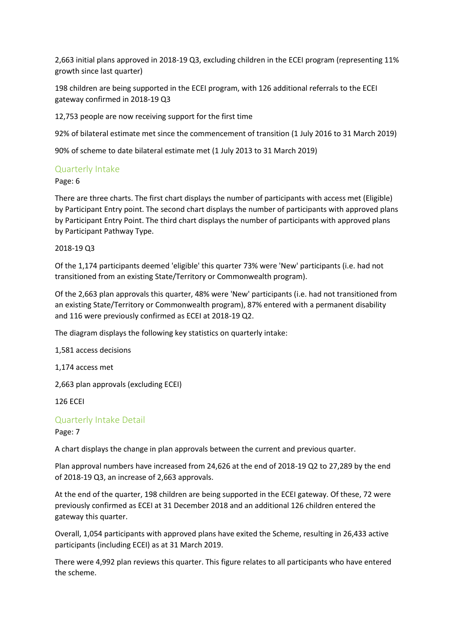2,663 initial plans approved in 2018-19 Q3, excluding children in the ECEI program (representing 11% growth since last quarter)

198 children are being supported in the ECEI program, with 126 additional referrals to the ECEI gateway confirmed in 2018-19 Q3

12,753 people are now receiving support for the first time

92% of bilateral estimate met since the commencement of transition (1 July 2016 to 31 March 2019)

90% of scheme to date bilateral estimate met (1 July 2013 to 31 March 2019)

#### Quarterly Intake

Page: 6

There are three charts. The first chart displays the number of participants with access met (Eligible) by Participant Entry point. The second chart displays the number of participants with approved plans by Participant Entry Point. The third chart displays the number of participants with approved plans by Participant Pathway Type.

2018-19 Q3

Of the 1,174 participants deemed 'eligible' this quarter 73% were 'New' participants (i.e. had not transitioned from an existing State/Territory or Commonwealth program).

Of the 2,663 plan approvals this quarter, 48% were 'New' participants (i.e. had not transitioned from an existing State/Territory or Commonwealth program), 87% entered with a permanent disability and 116 were previously confirmed as ECEI at 2018-19 Q2.

The diagram displays the following key statistics on quarterly intake:

1,581 access decisions

1,174 access met

2,663 plan approvals (excluding ECEI)

126 ECEI

#### Quarterly Intake Detail

Page: 7

A chart displays the change in plan approvals between the current and previous quarter.

Plan approval numbers have increased from 24,626 at the end of 2018-19 Q2 to 27,289 by the end of 2018-19 Q3, an increase of 2,663 approvals.

At the end of the quarter, 198 children are being supported in the ECEI gateway. Of these, 72 were previously confirmed as ECEI at 31 December 2018 and an additional 126 children entered the gateway this quarter.

Overall, 1,054 participants with approved plans have exited the Scheme, resulting in 26,433 active participants (including ECEI) as at 31 March 2019.

There were 4,992 plan reviews this quarter. This figure relates to all participants who have entered the scheme.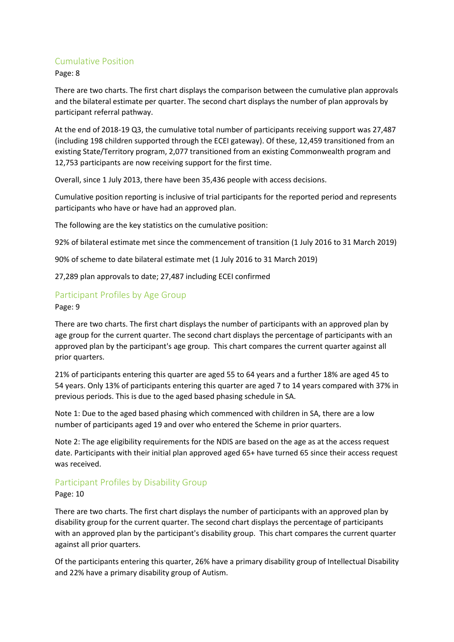#### Cumulative Position

Page: 8

There are two charts. The first chart displays the comparison between the cumulative plan approvals and the bilateral estimate per quarter. The second chart displays the number of plan approvals by participant referral pathway.

At the end of 2018-19 Q3, the cumulative total number of participants receiving support was 27,487 (including 198 children supported through the ECEI gateway). Of these, 12,459 transitioned from an existing State/Territory program, 2,077 transitioned from an existing Commonwealth program and 12,753 participants are now receiving support for the first time.

Overall, since 1 July 2013, there have been 35,436 people with access decisions.

Cumulative position reporting is inclusive of trial participants for the reported period and represents participants who have or have had an approved plan.

The following are the key statistics on the cumulative position:

92% of bilateral estimate met since the commencement of transition (1 July 2016 to 31 March 2019)

90% of scheme to date bilateral estimate met (1 July 2016 to 31 March 2019)

27,289 plan approvals to date; 27,487 including ECEI confirmed

#### Participant Profiles by Age Group

Page: 9

There are two charts. The first chart displays the number of participants with an approved plan by age group for the current quarter. The second chart displays the percentage of participants with an approved plan by the participant's age group. This chart compares the current quarter against all prior quarters.

21% of participants entering this quarter are aged 55 to 64 years and a further 18% are aged 45 to 54 years. Only 13% of participants entering this quarter are aged 7 to 14 years compared with 37% in previous periods. This is due to the aged based phasing schedule in SA.

Note 1: Due to the aged based phasing which commenced with children in SA, there are a low number of participants aged 19 and over who entered the Scheme in prior quarters.

Note 2: The age eligibility requirements for the NDIS are based on the age as at the access request date. Participants with their initial plan approved aged 65+ have turned 65 since their access request was received.

#### Participant Profiles by Disability Group

#### Page: 10

There are two charts. The first chart displays the number of participants with an approved plan by disability group for the current quarter. The second chart displays the percentage of participants with an approved plan by the participant's disability group. This chart compares the current quarter against all prior quarters.

Of the participants entering this quarter, 26% have a primary disability group of Intellectual Disability and 22% have a primary disability group of Autism.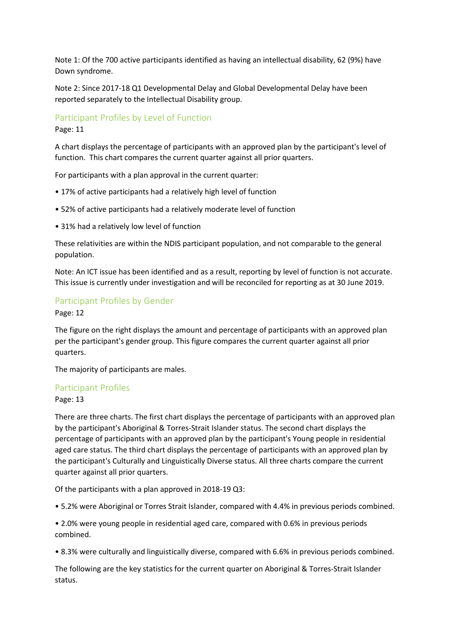Note 1: Of the 700 active participants identified as having an intellectual disability, 62 (9%) have Down syndrome.

Note 2: Since 2017-18 Q1 Developmental Delay and Global Developmental Delay have been reported separately to the Intellectual Disability group.

#### Participant Profiles by Level of Function

Page: 11

A chart displays the percentage of participants with an approved plan by the participant's level of function. This chart compares the current quarter against all prior quarters.

For participants with a plan approval in the current quarter:

- 17% of active participants had a relatively high level of function
- 52% of active participants had a relatively moderate level of function
- 31% had a relatively low level of function

These relativities are within the NDIS participant population, and not comparable to the general population.

Note: An ICT issue has been identified and as a result, reporting by level of function is not accurate. This issue is currently under investigation and will be reconciled for reporting as at 30 June 2019.

#### Participant Profiles by Gender

Page: 12

The figure on the right displays the amount and percentage of participants with an approved plan per the participant's gender group. This figure compares the current quarter against all prior quarters.

The majority of participants are males.

#### Participant Profiles

Page: 13

There are three charts. The first chart displays the percentage of participants with an approved plan by the participant's Aboriginal & Torres-Strait Islander status. The second chart displays the percentage of participants with an approved plan by the participant's Young people in residential aged care status. The third chart displays the percentage of participants with an approved plan by the participant's Culturally and Linguistically Diverse status. All three charts compare the current quarter against all prior quarters.

Of the participants with a plan approved in 2018-19 Q3:

• 5.2% were Aboriginal or Torres Strait Islander, compared with 4.4% in previous periods combined.

• 2.0% were young people in residential aged care, compared with 0.6% in previous periods combined.

• 8.3% were culturally and linguistically diverse, compared with 6.6% in previous periods combined.

The following are the key statistics for the current quarter on Aboriginal & Torres-Strait Islander status.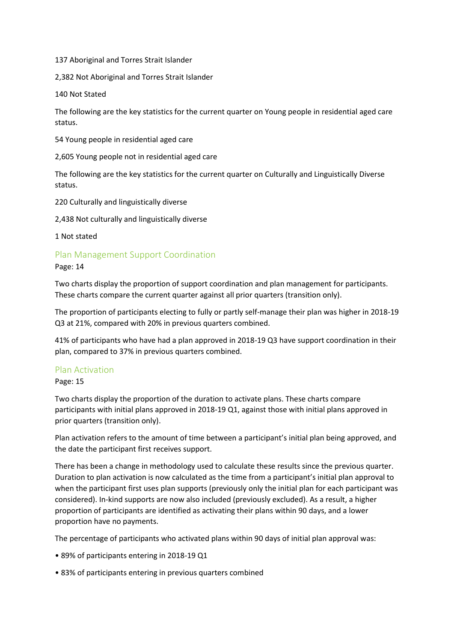137 Aboriginal and Torres Strait Islander

2,382 Not Aboriginal and Torres Strait Islander

140 Not Stated

The following are the key statistics for the current quarter on Young people in residential aged care status.

54 Young people in residential aged care

2,605 Young people not in residential aged care

The following are the key statistics for the current quarter on Culturally and Linguistically Diverse status.

220 Culturally and linguistically diverse

2,438 Not culturally and linguistically diverse

1 Not stated

#### Plan Management Support Coordination

Page: 14

Two charts display the proportion of support coordination and plan management for participants. These charts compare the current quarter against all prior quarters (transition only).

The proportion of participants electing to fully or partly self-manage their plan was higher in 2018-19 Q3 at 21%, compared with 20% in previous quarters combined.

41% of participants who have had a plan approved in 2018-19 Q3 have support coordination in their plan, compared to 37% in previous quarters combined.

#### Plan Activation

Page: 15

Two charts display the proportion of the duration to activate plans. These charts compare participants with initial plans approved in 2018-19 Q1, against those with initial plans approved in prior quarters (transition only).

Plan activation refers to the amount of time between a participant's initial plan being approved, and the date the participant first receives support.

There has been a change in methodology used to calculate these results since the previous quarter. Duration to plan activation is now calculated as the time from a participant's initial plan approval to when the participant first uses plan supports (previously only the initial plan for each participant was considered). In-kind supports are now also included (previously excluded). As a result, a higher proportion of participants are identified as activating their plans within 90 days, and a lower proportion have no payments.

The percentage of participants who activated plans within 90 days of initial plan approval was:

- 89% of participants entering in 2018-19 Q1
- 83% of participants entering in previous quarters combined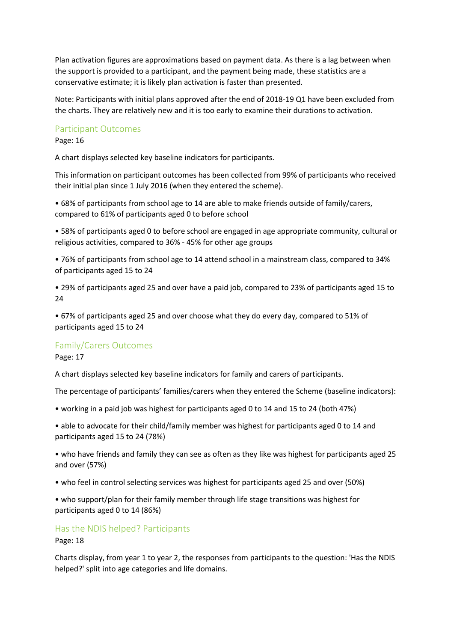Plan activation figures are approximations based on payment data. As there is a lag between when the support is provided to a participant, and the payment being made, these statistics are a conservative estimate; it is likely plan activation is faster than presented.

Note: Participants with initial plans approved after the end of 2018-19 Q1 have been excluded from the charts. They are relatively new and it is too early to examine their durations to activation.

#### Participant Outcomes

Page: 16

A chart displays selected key baseline indicators for participants.

This information on participant outcomes has been collected from 99% of participants who received their initial plan since 1 July 2016 (when they entered the scheme).

• 68% of participants from school age to 14 are able to make friends outside of family/carers, compared to 61% of participants aged 0 to before school

• 58% of participants aged 0 to before school are engaged in age appropriate community, cultural or religious activities, compared to 36% - 45% for other age groups

• 76% of participants from school age to 14 attend school in a mainstream class, compared to 34% of participants aged 15 to 24

• 29% of participants aged 25 and over have a paid job, compared to 23% of participants aged 15 to 24

• 67% of participants aged 25 and over choose what they do every day, compared to 51% of participants aged 15 to 24

#### Family/Carers Outcomes

Page: 17

A chart displays selected key baseline indicators for family and carers of participants.

The percentage of participants' families/carers when they entered the Scheme (baseline indicators):

• working in a paid job was highest for participants aged 0 to 14 and 15 to 24 (both 47%)

• able to advocate for their child/family member was highest for participants aged 0 to 14 and participants aged 15 to 24 (78%)

• who have friends and family they can see as often as they like was highest for participants aged 25 and over (57%)

• who feel in control selecting services was highest for participants aged 25 and over (50%)

• who support/plan for their family member through life stage transitions was highest for participants aged 0 to 14 (86%)

#### Has the NDIS helped? Participants

Page: 18

Charts display, from year 1 to year 2, the responses from participants to the question: 'Has the NDIS helped?' split into age categories and life domains.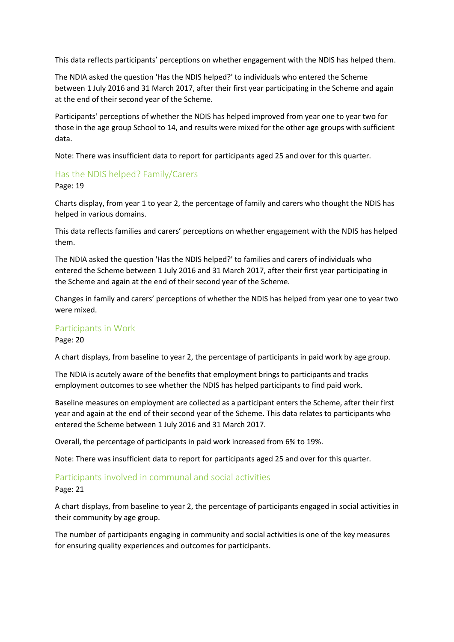This data reflects participants' perceptions on whether engagement with the NDIS has helped them.

The NDIA asked the question 'Has the NDIS helped?' to individuals who entered the Scheme between 1 July 2016 and 31 March 2017, after their first year participating in the Scheme and again at the end of their second year of the Scheme.

Participants' perceptions of whether the NDIS has helped improved from year one to year two for those in the age group School to 14, and results were mixed for the other age groups with sufficient data.

Note: There was insufficient data to report for participants aged 25 and over for this quarter.

#### Has the NDIS helped? Family/Carers

Page: 19

Charts display, from year 1 to year 2, the percentage of family and carers who thought the NDIS has helped in various domains.

This data reflects families and carers' perceptions on whether engagement with the NDIS has helped them.

The NDIA asked the question 'Has the NDIS helped?' to families and carers of individuals who entered the Scheme between 1 July 2016 and 31 March 2017, after their first year participating in the Scheme and again at the end of their second year of the Scheme.

Changes in family and carers' perceptions of whether the NDIS has helped from year one to year two were mixed.

#### Participants in Work

Page: 20

A chart displays, from baseline to year 2, the percentage of participants in paid work by age group.

The NDIA is acutely aware of the benefits that employment brings to participants and tracks employment outcomes to see whether the NDIS has helped participants to find paid work.

Baseline measures on employment are collected as a participant enters the Scheme, after their first year and again at the end of their second year of the Scheme. This data relates to participants who entered the Scheme between 1 July 2016 and 31 March 2017.

Overall, the percentage of participants in paid work increased from 6% to 19%.

Note: There was insufficient data to report for participants aged 25 and over for this quarter.

#### Participants involved in communal and social activities

Page: 21

A chart displays, from baseline to year 2, the percentage of participants engaged in social activities in their community by age group.

The number of participants engaging in community and social activities is one of the key measures for ensuring quality experiences and outcomes for participants.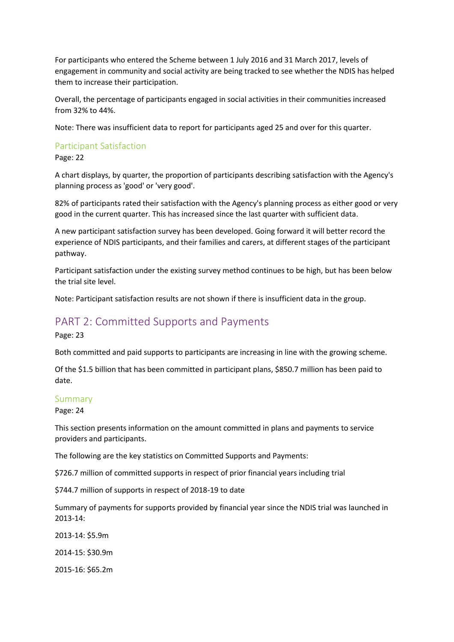For participants who entered the Scheme between 1 July 2016 and 31 March 2017, levels of engagement in community and social activity are being tracked to see whether the NDIS has helped them to increase their participation.

Overall, the percentage of participants engaged in social activities in their communities increased from 32% to 44%.

Note: There was insufficient data to report for participants aged 25 and over for this quarter.

#### Participant Satisfaction

Page: 22

A chart displays, by quarter, the proportion of participants describing satisfaction with the Agency's planning process as 'good' or 'very good'.

82% of participants rated their satisfaction with the Agency's planning process as either good or very good in the current quarter. This has increased since the last quarter with sufficient data.

A new participant satisfaction survey has been developed. Going forward it will better record the experience of NDIS participants, and their families and carers, at different stages of the participant pathway.

Participant satisfaction under the existing survey method continues to be high, but has been below the trial site level.

Note: Participant satisfaction results are not shown if there is insufficient data in the group.

## PART 2: Committed Supports and Payments

Page: 23

Both committed and paid supports to participants are increasing in line with the growing scheme.

Of the \$1.5 billion that has been committed in participant plans, \$850.7 million has been paid to date.

#### Summary

Page: 24

This section presents information on the amount committed in plans and payments to service providers and participants.

The following are the key statistics on Committed Supports and Payments:

\$726.7 million of committed supports in respect of prior financial years including trial

\$744.7 million of supports in respect of 2018-19 to date

Summary of payments for supports provided by financial year since the NDIS trial was launched in 2013-14:

2013-14: \$5.9m

2014-15: \$30.9m

2015-16: \$65.2m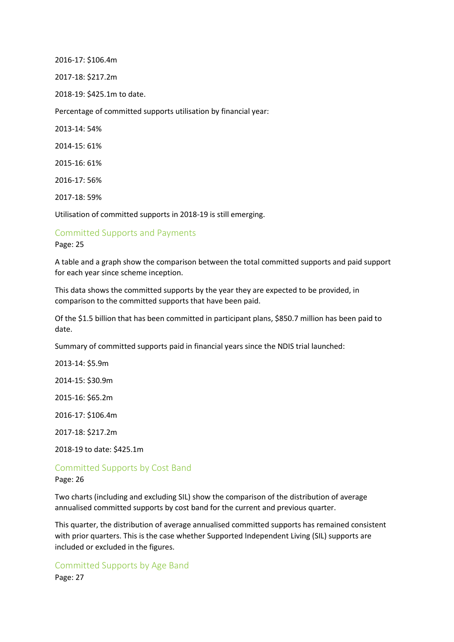2016-17: \$106.4m

2017-18: \$217.2m

2018-19: \$425.1m to date.

Percentage of committed supports utilisation by financial year:

2013-14: 54%

2014-15: 61%

2015-16: 61%

2016-17: 56%

2017-18: 59%

Utilisation of committed supports in 2018-19 is still emerging.

# Committed Supports and Payments

Page: 25

A table and a graph show the comparison between the total committed supports and paid support for each year since scheme inception.

This data shows the committed supports by the year they are expected to be provided, in comparison to the committed supports that have been paid.

Of the \$1.5 billion that has been committed in participant plans, \$850.7 million has been paid to date.

Summary of committed supports paid in financial years since the NDIS trial launched:

2013-14: \$5.9m

2014-15: \$30.9m

2015-16: \$65.2m

2016-17: \$106.4m

2017-18: \$217.2m

2018-19 to date: \$425.1m

# Committed Supports by Cost Band

Page: 26

Two charts (including and excluding SIL) show the comparison of the distribution of average annualised committed supports by cost band for the current and previous quarter.

This quarter, the distribution of average annualised committed supports has remained consistent with prior quarters. This is the case whether Supported Independent Living (SIL) supports are included or excluded in the figures.

Committed Supports by Age Band Page: 27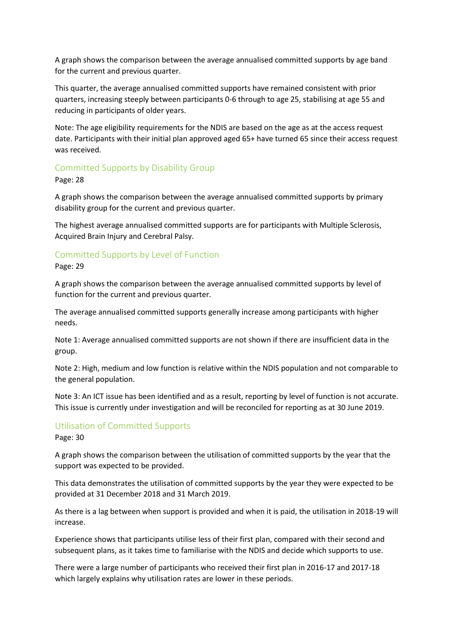A graph shows the comparison between the average annualised committed supports by age band for the current and previous quarter.

This quarter, the average annualised committed supports have remained consistent with prior quarters, increasing steeply between participants 0-6 through to age 25, stabilising at age 55 and reducing in participants of older years.

Note: The age eligibility requirements for the NDIS are based on the age as at the access request date. Participants with their initial plan approved aged 65+ have turned 65 since their access request was received.

#### Committed Supports by Disability Group

Page: 28

A graph shows the comparison between the average annualised committed supports by primary disability group for the current and previous quarter.

The highest average annualised committed supports are for participants with Multiple Sclerosis, Acquired Brain Injury and Cerebral Palsy.

#### Committed Supports by Level of Function

Page: 29

A graph shows the comparison between the average annualised committed supports by level of function for the current and previous quarter.

The average annualised committed supports generally increase among participants with higher needs.

Note 1: Average annualised committed supports are not shown if there are insufficient data in the group.

Note 2: High, medium and low function is relative within the NDIS population and not comparable to the general population.

Note 3: An ICT issue has been identified and as a result, reporting by level of function is not accurate. This issue is currently under investigation and will be reconciled for reporting as at 30 June 2019.

### Utilisation of Committed Supports

Page: 30

A graph shows the comparison between the utilisation of committed supports by the year that the support was expected to be provided.

This data demonstrates the utilisation of committed supports by the year they were expected to be provided at 31 December 2018 and 31 March 2019.

As there is a lag between when support is provided and when it is paid, the utilisation in 2018-19 will increase.

Experience shows that participants utilise less of their first plan, compared with their second and subsequent plans, as it takes time to familiarise with the NDIS and decide which supports to use.

There were a large number of participants who received their first plan in 2016-17 and 2017-18 which largely explains why utilisation rates are lower in these periods.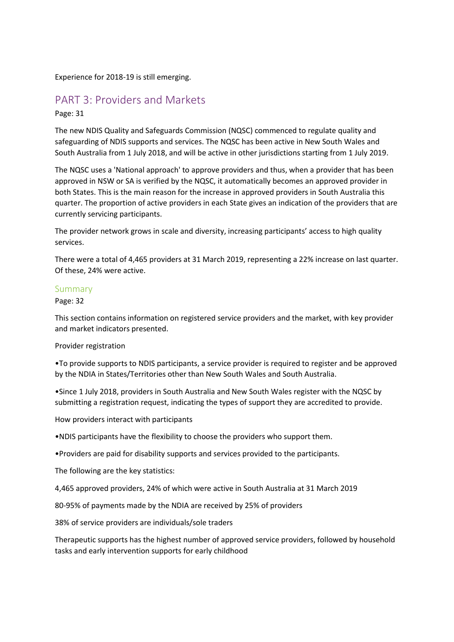Experience for 2018-19 is still emerging.

## PART 3: Providers and Markets

Page: 31

The new NDIS Quality and Safeguards Commission (NQSC) commenced to regulate quality and safeguarding of NDIS supports and services. The NQSC has been active in New South Wales and South Australia from 1 July 2018, and will be active in other jurisdictions starting from 1 July 2019.

The NQSC uses a 'National approach' to approve providers and thus, when a provider that has been approved in NSW or SA is verified by the NQSC, it automatically becomes an approved provider in both States. This is the main reason for the increase in approved providers in South Australia this quarter. The proportion of active providers in each State gives an indication of the providers that are currently servicing participants.

The provider network grows in scale and diversity, increasing participants' access to high quality services.

There were a total of 4,465 providers at 31 March 2019, representing a 22% increase on last quarter. Of these, 24% were active.

#### Summary

Page: 32

This section contains information on registered service providers and the market, with key provider and market indicators presented.

Provider registration

•To provide supports to NDIS participants, a service provider is required to register and be approved by the NDIA in States/Territories other than New South Wales and South Australia.

•Since 1 July 2018, providers in South Australia and New South Wales register with the NQSC by submitting a registration request, indicating the types of support they are accredited to provide.

How providers interact with participants

•NDIS participants have the flexibility to choose the providers who support them.

•Providers are paid for disability supports and services provided to the participants.

The following are the key statistics:

4,465 approved providers, 24% of which were active in South Australia at 31 March 2019

80-95% of payments made by the NDIA are received by 25% of providers

38% of service providers are individuals/sole traders

Therapeutic supports has the highest number of approved service providers, followed by household tasks and early intervention supports for early childhood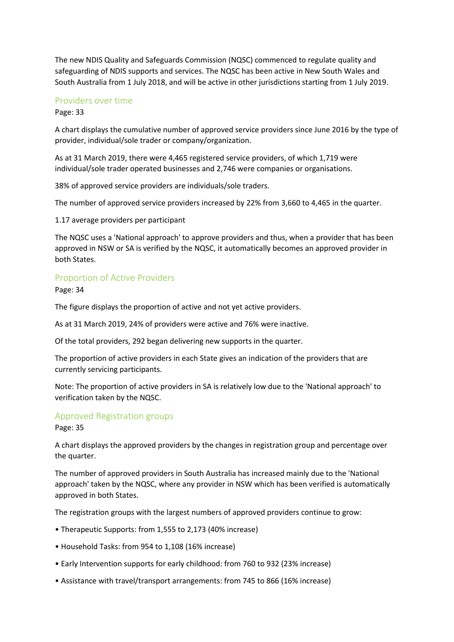The new NDIS Quality and Safeguards Commission (NQSC) commenced to regulate quality and safeguarding of NDIS supports and services. The NQSC has been active in New South Wales and South Australia from 1 July 2018, and will be active in other jurisdictions starting from 1 July 2019.

#### Providers over time

Page: 33

A chart displays the cumulative number of approved service providers since June 2016 by the type of provider, individual/sole trader or company/organization.

As at 31 March 2019, there were 4,465 registered service providers, of which 1,719 were individual/sole trader operated businesses and 2,746 were companies or organisations.

38% of approved service providers are individuals/sole traders.

The number of approved service providers increased by 22% from 3,660 to 4,465 in the quarter.

1.17 average providers per participant

The NQSC uses a 'National approach' to approve providers and thus, when a provider that has been approved in NSW or SA is verified by the NQSC, it automatically becomes an approved provider in both States.

#### Proportion of Active Providers

Page: 34

The figure displays the proportion of active and not yet active providers.

As at 31 March 2019, 24% of providers were active and 76% were inactive.

Of the total providers, 292 began delivering new supports in the quarter.

The proportion of active providers in each State gives an indication of the providers that are currently servicing participants.

Note: The proportion of active providers in SA is relatively low due to the 'National approach' to verification taken by the NQSC.

#### Approved Registration groups

Page: 35

A chart displays the approved providers by the changes in registration group and percentage over the quarter.

The number of approved providers in South Australia has increased mainly due to the 'National approach' taken by the NQSC, where any provider in NSW which has been verified is automatically approved in both States.

The registration groups with the largest numbers of approved providers continue to grow:

- Therapeutic Supports: from 1,555 to 2,173 (40% increase)
- Household Tasks: from 954 to 1,108 (16% increase)
- Early Intervention supports for early childhood: from 760 to 932 (23% increase)
- Assistance with travel/transport arrangements: from 745 to 866 (16% increase)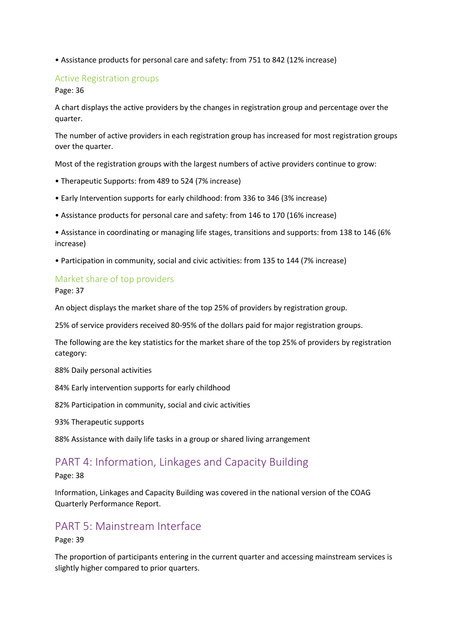• Assistance products for personal care and safety: from 751 to 842 (12% increase)

#### Active Registration groups

Page: 36

A chart displays the active providers by the changes in registration group and percentage over the quarter.

The number of active providers in each registration group has increased for most registration groups over the quarter.

Most of the registration groups with the largest numbers of active providers continue to grow:

- Therapeutic Supports: from 489 to 524 (7% increase)
- Early Intervention supports for early childhood: from 336 to 346 (3% increase)
- Assistance products for personal care and safety: from 146 to 170 (16% increase)
- Assistance in coordinating or managing life stages, transitions and supports: from 138 to 146 (6% increase)
- Participation in community, social and civic activities: from 135 to 144 (7% increase)

#### Market share of top providers

Page: 37

An object displays the market share of the top 25% of providers by registration group.

25% of service providers received 80-95% of the dollars paid for major registration groups.

The following are the key statistics for the market share of the top 25% of providers by registration category:

88% Daily personal activities

84% Early intervention supports for early childhood

82% Participation in community, social and civic activities

93% Therapeutic supports

88% Assistance with daily life tasks in a group or shared living arrangement

## PART 4: Information, Linkages and Capacity Building

Page: 38

Information, Linkages and Capacity Building was covered in the national version of the COAG Quarterly Performance Report.

## PART 5: Mainstream Interface

Page: 39

The proportion of participants entering in the current quarter and accessing mainstream services is slightly higher compared to prior quarters.